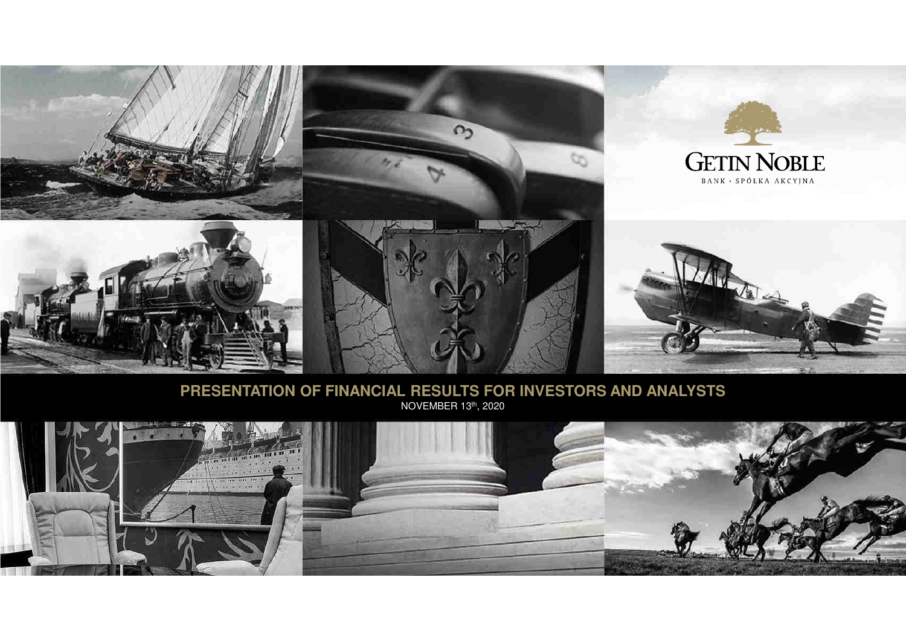

#### **PRESENTATION OF FINANCIAL RESULTS FOR INVESTORS AND ANALYSTS**NOVEMBER 13th, 2020

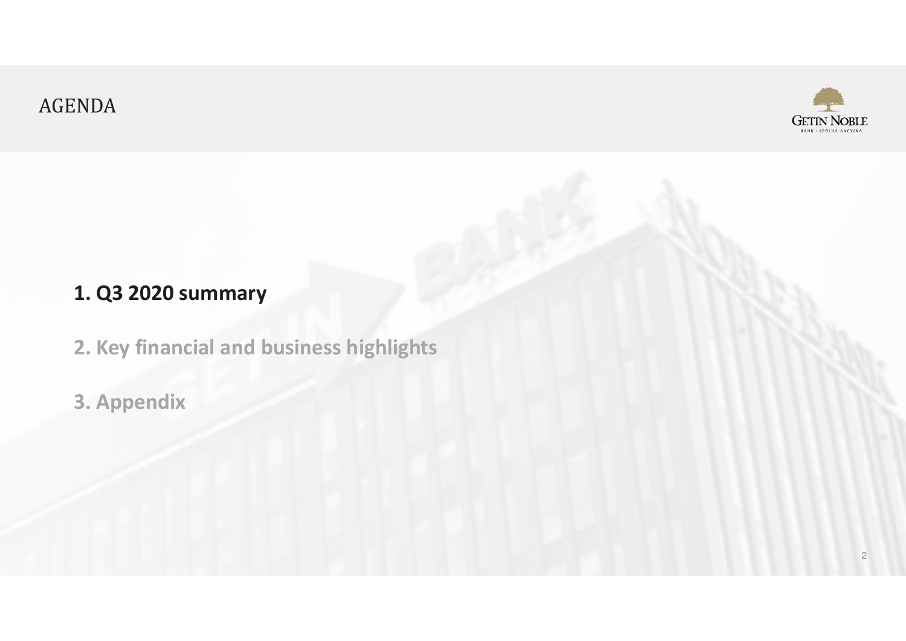## AGENDA



# **1. Q3 2020 summary**

- **2. Key financial and business highlights**
- **3. Appendix**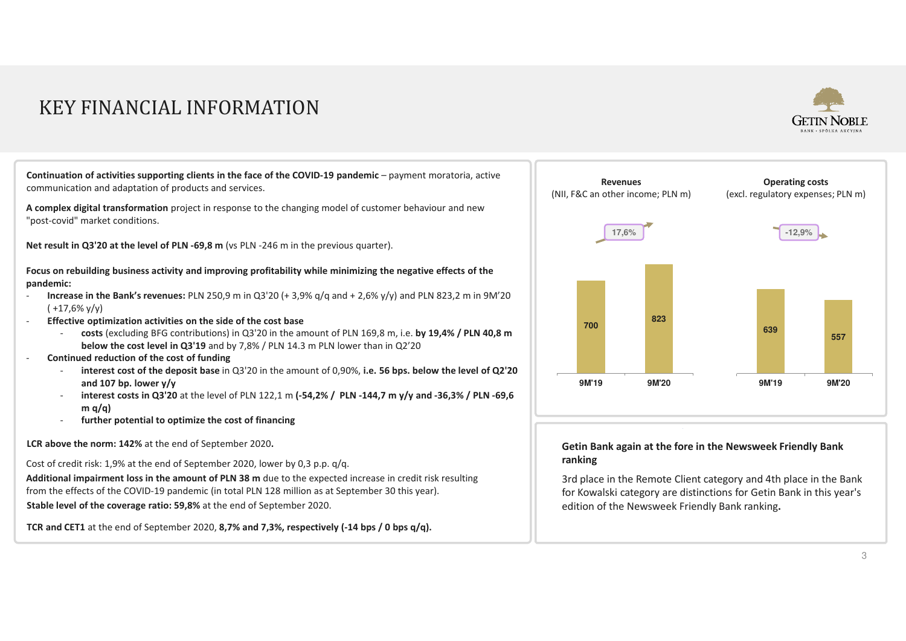## KEY FINANCIAL INFORMATION



**Continuation of activities supporting clients in the face of the COVID-19 pandemic – payment moratoria, active** communication and adaptation of products and services.

**A complex digital transformation** project in response to the changing model of customer behaviour and new "post-covid" market conditions.

**Net result in Q3'20 at the level of PLN -69,8 m** (vs PLN -246 m in the previous quarter).

**Focus on rebuilding business activity and improving profitability while minimizing the negative effects of the pandemic:**

- **Increase in the Bank's revenues:** PLN 250,9 m in Q3'20 (+ 3,9% q/q and + 2,6% y/y) and PLN 823,2 m in 9M'20  $(+17,6\%$  y/y)
- **Effective optimization activities on the side of the cost base**-
	- **costs** (excluding BFG contributions) in Q3'20 in the amount of PLN 169,8 m, i.e. **by 19,4% / PLN 40,8 m below the cost level in Q3'19** and by 7,8% / PLN 14.3 m PLN lower than in Q2'20
- **Continued reduction of the cost of funding**
	- **interest cost of the deposit base** in Q3'20 in the amount of 0,90%, **i.e. 56 bps. below the level of Q2'20 and 107 bp. lower y/y**
	- **interest costs in Q3'20** at the level of PLN 122,1 m **(-54,2% / PLN -144,7 m y/y and -36,3% / PLN -69,6 m q/q)**
	- **further potential to optimize the cost of financing**

**LCR above the norm: 142%** at the end of September 2020**.**

Cost of credit risk: 1,9% at the end of September 2020, lower by 0,3 p.p. q/q.

**Stable level of the coverage ratio: 59,8%** at the end of September 2020.**Additional impairment loss in the amount of PLN 38 m** due to the expected increase in credit risk resulting from the effects of the COVID-19 pandemic (in total PLN 128 million as at September 30 this year).

**TCR and CET1** at the end of September 2020, **8,7% and 7,3%, respectively (-14 bps / 0 bps q/q).**



#### **Getin Bank again at the fore in the Newsweek Friendly Bank ranking**

3rd place in the Remote Client category and 4th place in the Bank for Kowalski category are distinctions for Getin Bank in this year's edition of the Newsweek Friendly Bank ranking**.**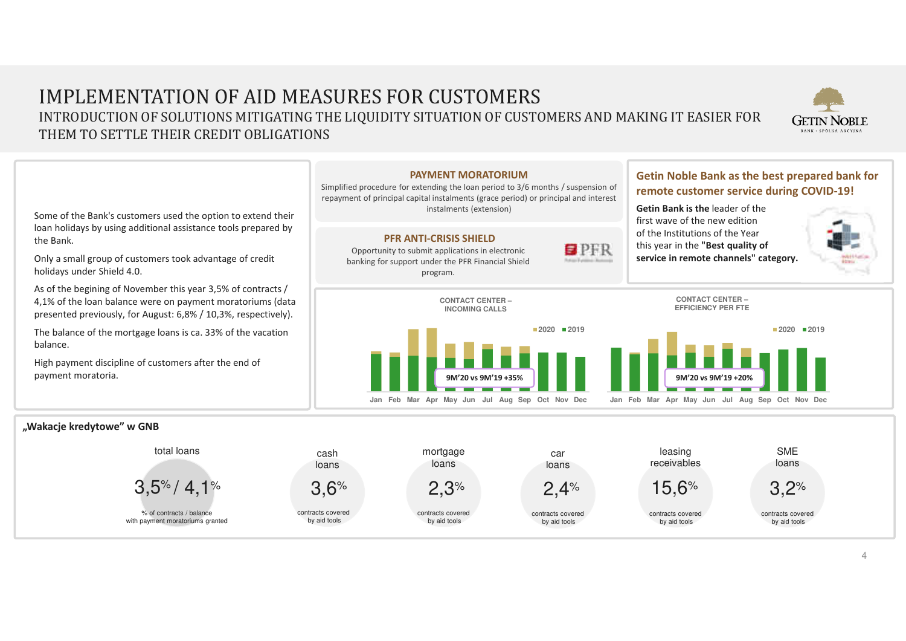#### IMPLEMENTATION OF AID MEASURES FOR CUSTOMERS INTRODUCTION OF SOLUTIONS MITIGATING THE LIQUIDITY SITUATION OF CUSTOMERS AND MAKING IT EASIER FOR THEM TO SETTLE THEIR CREDIT OBLIGATIONS



 Some of the Bank's customers used the option to extend their loan holidays by using additional assistance tools prepared by the Bank.

Only a small group of customers took advantage of credit holidays under Shield 4.0.

As of the begining of November this year 3,5% of contracts / 4,1% of the loan balance were on payment moratoriums (data presented previously, for August: 6,8% / 10,3%, respectively).

The balance of the mortgage loans is ca. 33% of the vacation balance.

High payment discipline of customers after the end of payment moratoria.

#### **PAYMENT MORATORIUM** Simplified procedure for extending the loan period to 3/6 months / suspension of repayment of principal capital instalments (grace period) or principal and interest instalments (extension)**Getin Noble Bank as the best prepared bank for remote customer service during COVID-19!Getin Bank is the** leader of the first wave of the new edition of the Institutions of the Year

**PFR ANTI-CRISIS SHIELD** Opportunity to submit applications in electronic banking for support under the PFR Financial Shield program.



this year in the **"Best quality of service in remote channels" category.**





#### **"Wakacje kredytowe" w GNB**

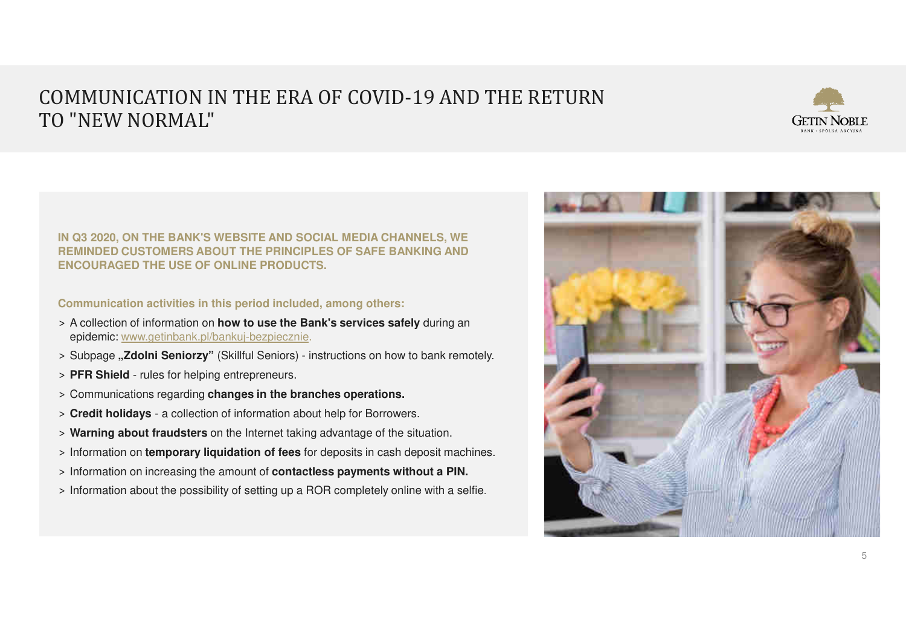## COMMUNICATION IN THE ERA OF COVID-19 AND THE RETURNTO "NEW NORMAL"



#### **IN Q3 2020, ON THE BANK'S WEBSITE AND SOCIAL MEDIA CHANNELS, WE REMINDED CUSTOMERS ABOUT THE PRINCIPLES OF SAFE BANKING AND ENCOURAGED THE USE OF ONLINE PRODUCTS.**

**Communication activities in this period included, among others:**

- > A collection of information on **how to use the Bank's services safely** during an epidemic: www.getinbank.pl/bankuj-bezpiecznie.
- > Subpage **"Zdolni Seniorzy"** (Skillful Seniors) instructions on how to bank remotely.
- > **PFR Shield**  rules for helping entrepreneurs.
- > Communications regarding **changes in the branches operations.**
- > **Credit holidays**  a collection of information about help for Borrowers.
- > **Warning about fraudsters** on the Internet taking advantage of the situation.
- > Information on **temporary liquidation of fees** for deposits in cash deposit machines.
- > Information on increasing the amount of **contactless payments without a PIN.**
- > Information about the possibility of setting up a ROR completely online with a selfie.

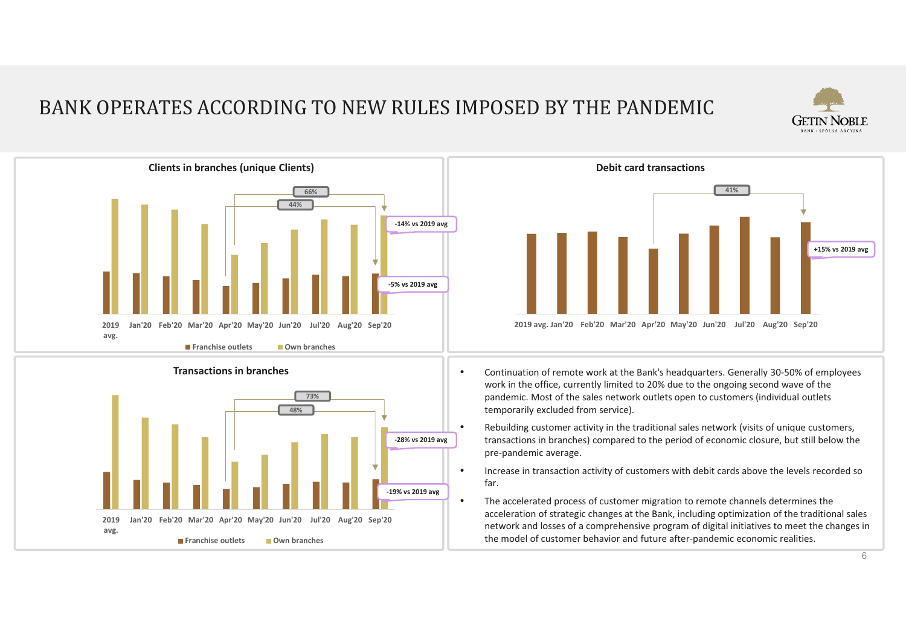## BANK OPERATES ACCORDING TO NEW RULES IMPOSED BY THE PANDEMIC









- Continuation of remote work at the Bank's headquarters. Generally 30-50% of employees work in the office, currently limited to 20% due to the ongoing second wave of the pandemic. Most of the sales network outlets open to customers (individual outlets temporarily excluded from service).
- Rebuilding customer activity in the traditional sales network (visits of unique customers, transactions in branches) compared to the period of economic closure, but still below the pre-pandemic average.
- • Increase in transaction activity of customers with debit cards above the levels recorded so far.
- The accelerated process of customer migration to remote channels determines the acceleration of strategic changes at the Bank, including optimization of the traditional sales network and losses of a comprehensive program of digital initiatives to meet the changes in the model of customer behavior and future after-pandemic economic realities.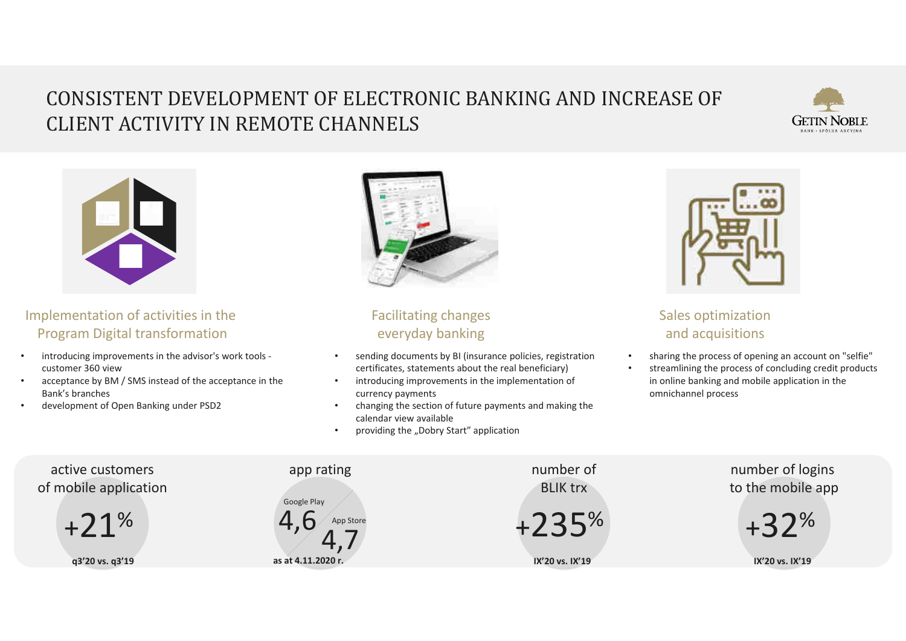# CONSISTENT DEVELOPMENT OF ELECTRONIC BANKING AND INCREASE OF CLIENT ACTIVITY IN REMOTE CHANNELS





Implementation of activities in the Program Digital transformation

- • introducing improvements in the advisor's work tools customer 360 view
- acceptance by BM / SMS instead of the acceptance in the •Bank's branches
- •development of Open Banking under PSD2



#### Facilitating changes everyday banking

- • sending documents by BI (insurance policies, registration certificates, statements about the real beneficiary)
- • introducing improvements in the implementation of currency payments
- changing the section of future payments and making the •calendar view available
- providing the "Dobry Start" application •



#### Sales optimizationand acquisitions

- •sharing the process of opening an account on "selfie"
- streamlining the process of concluding credit products •in online banking and mobile application in the omnichannel process

```
+21%
q3'20 vs. q3'19active customers
of mobile application4,6^{\prime} 4,7
                                          app rating
                                       as at 4.11.2020 r.
                                         Google PlayApp Store
                                                                                 +235%
IX'20 vs. IX'19number of
                                                                                     BLIK trx+32%
IX'20 vs. IX'19number of logins
                                                                                                                     to the mobile app
```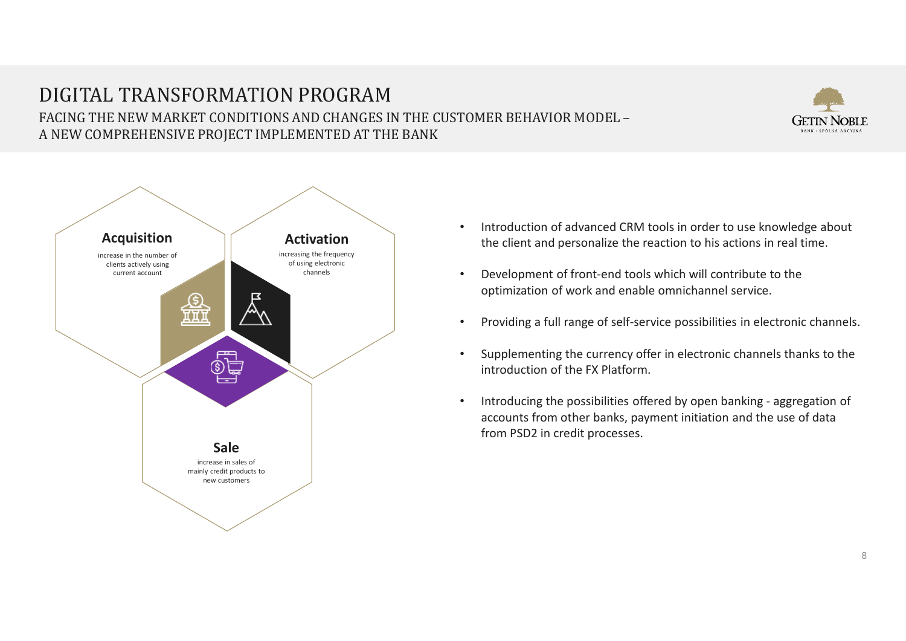#### DIGITAL TRANSFORMATION PROGRAM FACING THE NEW MARKET CONDITIONS AND CHANGES IN THE CUSTOMER BEHAVIOR MODEL –A NEW COMPREHENSIVE PROJECT IMPLEMENTED AT THE BANK





- • Introduction of advanced CRM tools in order to use knowledge about the client and personalize the reaction to his actions in real time.
- • Development of front-end tools which will contribute to the optimization of work and enable omnichannel service.
- •Providing a full range of self-service possibilities in electronic channels.
- $\bullet$  Supplementing the currency offer in electronic channels thanks to the introduction of the FX Platform.
- $\bullet$  Introducing the possibilities offered by open banking - aggregation of accounts from other banks, payment initiation and the use of data from PSD2 in credit processes.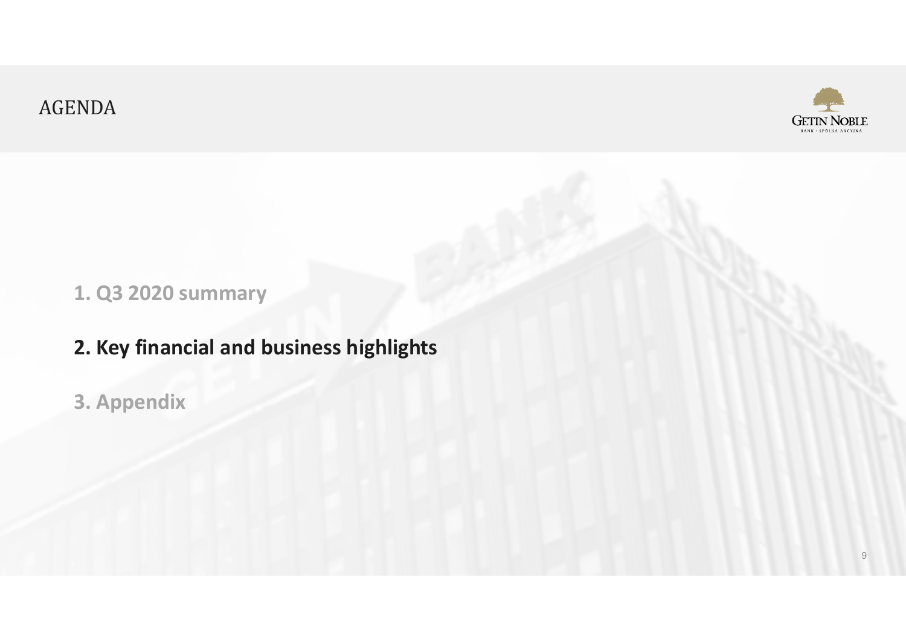## AGENDA



# **1. Q3 2020 summary**

- **2. Key financial and business highlights**
- **3. Appendix**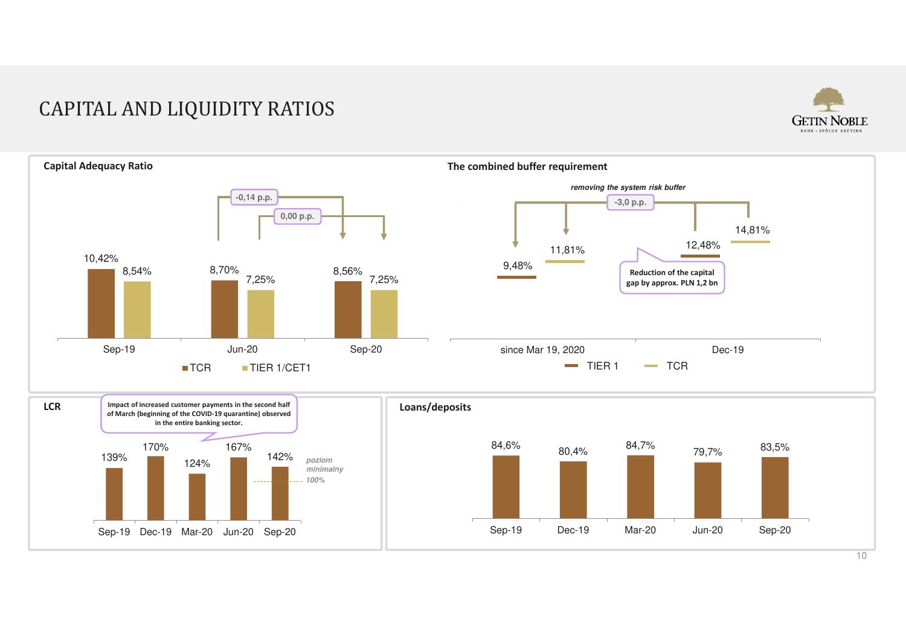## CAPITAL AND LIQUIDITY RATIOS



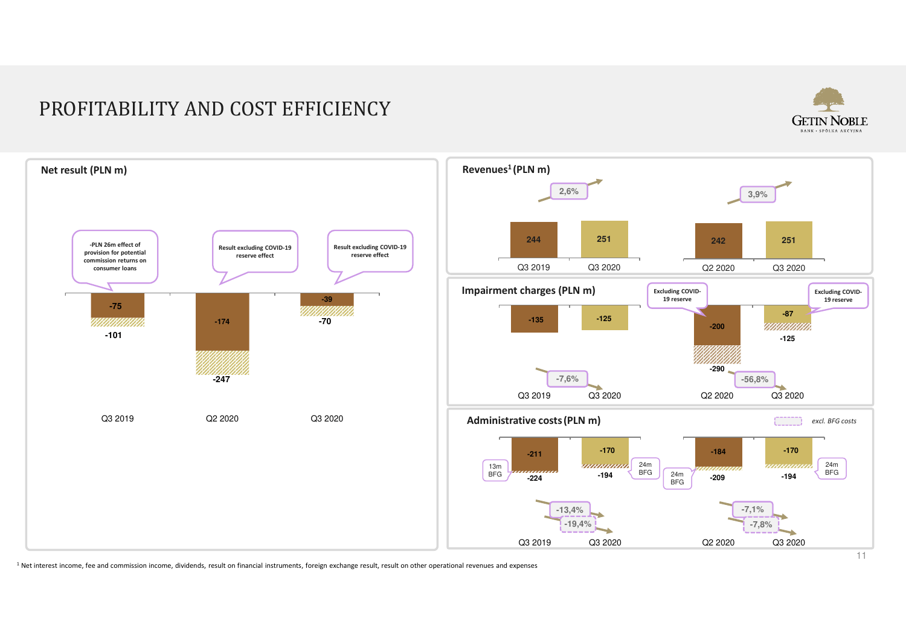#### PROFITABILITY AND COST EFFICIENCY





 $<sup>1</sup>$  Net interest income, fee and commission income, dividends, result on financial instruments, foreign exchange result, result on other operational revenues and expenses</sup>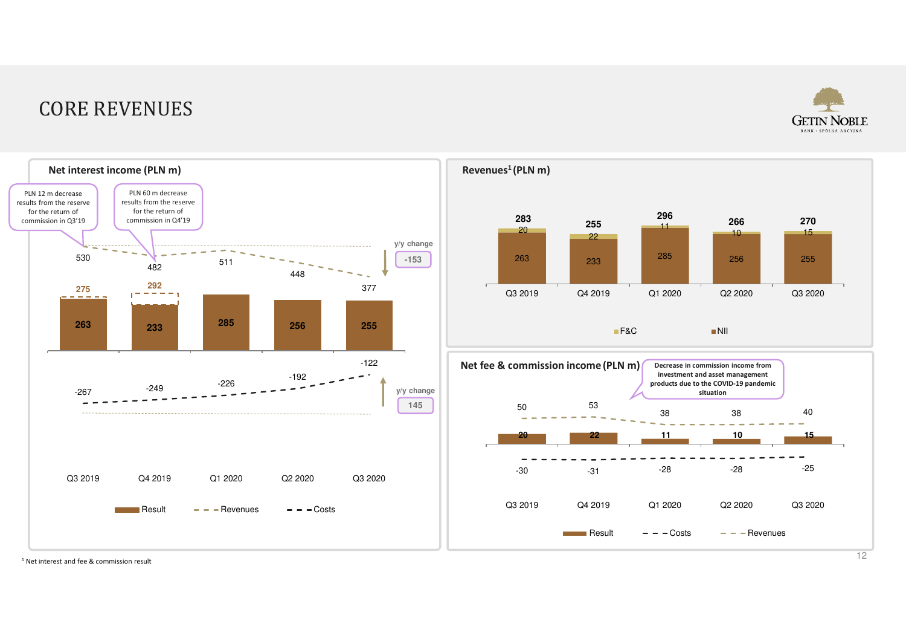#### CORE REVENUES





1 Net interest and fee & commission result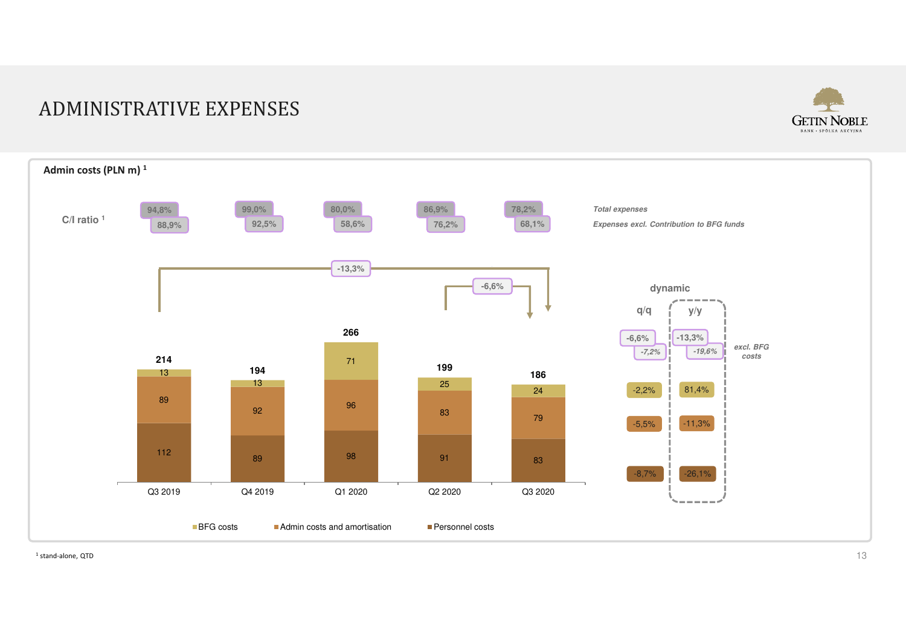## ADMINISTRATIVE EXPENSES



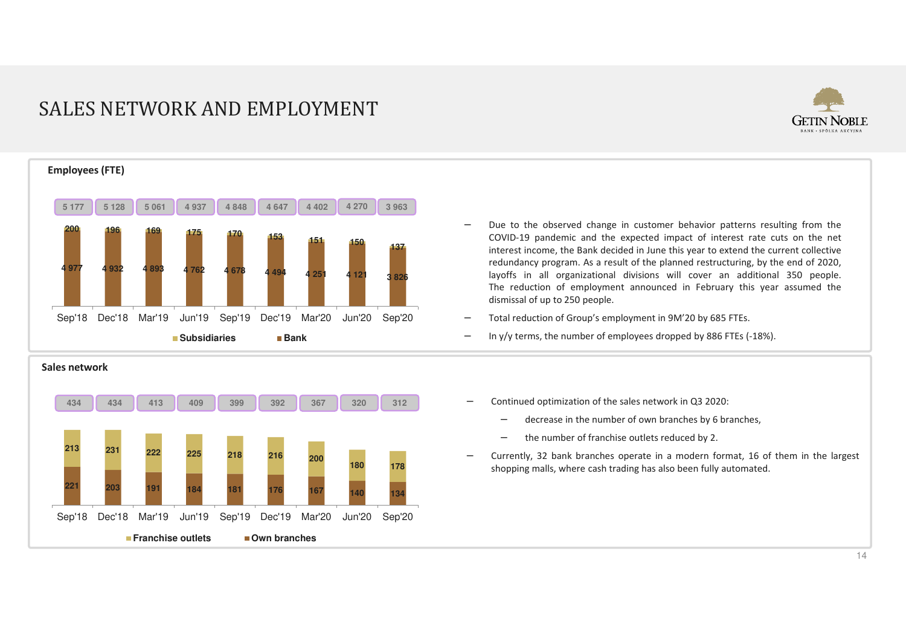#### SALES NETWORK AND EMPLOYMENT





**221 <sup>203</sup> <sup>191</sup> <sup>184</sup> <sup>181</sup> <sup>176</sup> <sup>167</sup> 140 <sup>134</sup>213** $23 -$  **222 <sup>225</sup> <sup>218</sup> <sup>216</sup> 200180 <sup>178</sup>**Sep'18 Dec'18 Mar'19 Jun'19 Sep'19 Dec'19 Mar'20 Jun'20 Sep'20**Franchise outlets Own branches 434 <sup>434</sup> <sup>413</sup> <sup>409</sup> <sup>399</sup> <sup>392</sup> <sup>312</sup> 367320Sales network**

- − Due to the observed change in customer behavior patterns resulting from the COVID-19 pandemic and the expected impact of interest rate cuts on the net interest income, the Bank decided in June this year to extend the current collective redundancy program. As <sup>a</sup> result of the planned restructuring, by the end of 2020, layoffs in all organizational divisions will cover an additional <sup>350</sup> people. The reduction of employment announced in February this year assumed the dismissal of up to <sup>250</sup> people.
- Total reduction of Group's employment in 9M'20 by <sup>685</sup> FTEs.
- In y/y terms, the number of employees dropped by <sup>886</sup> FTEs (-18%).
- Continued optimization of the sales network in Q3 2020:
	- −decrease in the number of own branches by <sup>6</sup> branches,
	- −the number of franchise outlets reduced by 2.
- − Currently, <sup>32</sup> bank branches operate in <sup>a</sup> modern format, <sup>16</sup> of them in the largest shopping malls, where cash trading has also been fully automated.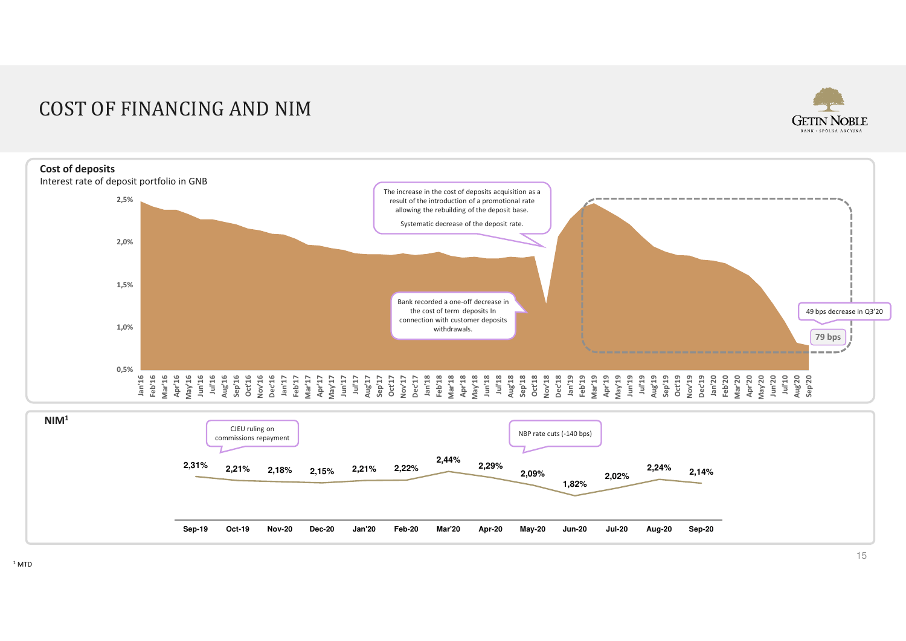#### COST OF FINANCING AND NIM





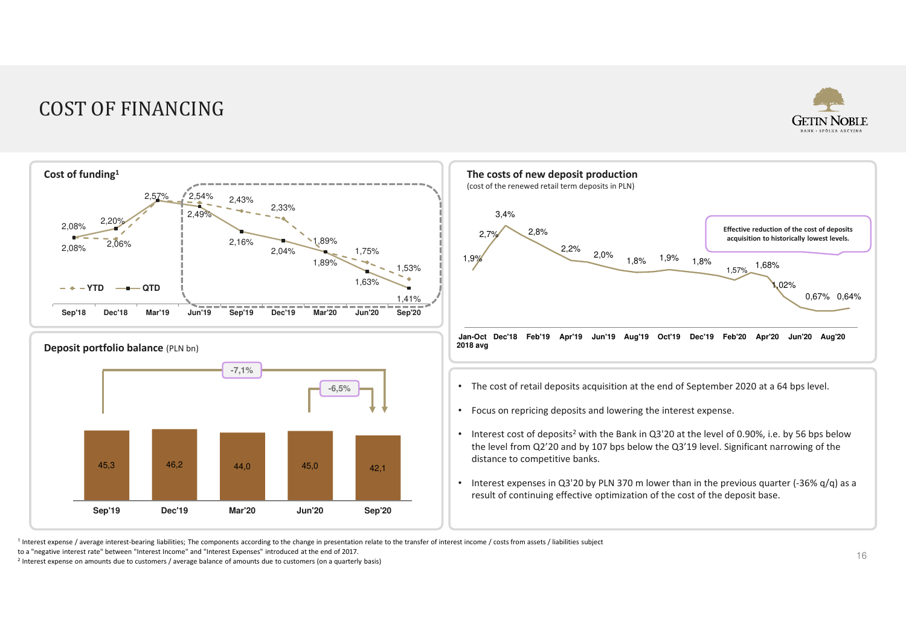## COST OF FINANCING





1 Interest expense / average interest-bearing liabilities; The components according to the change in presentation relate to the transfer of interest income / costs from assets / liabilities subject

to a "negative interest rate" between "Interest Income" and "Interest Expenses" introduced at the end of 2017.

<sup>2</sup> Interest expense on amounts due to customers / average balance of amounts due to customers (on a quarterly basis)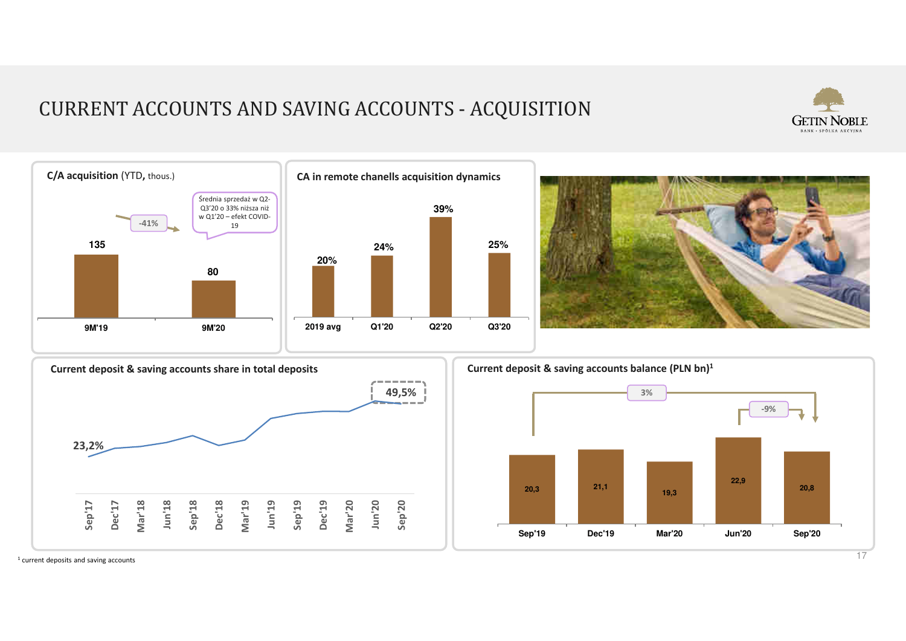## CURRENT ACCOUNTS AND SAVING ACCOUNTS - ACQUISITION











<sup>1</sup> current deposits and saving accounts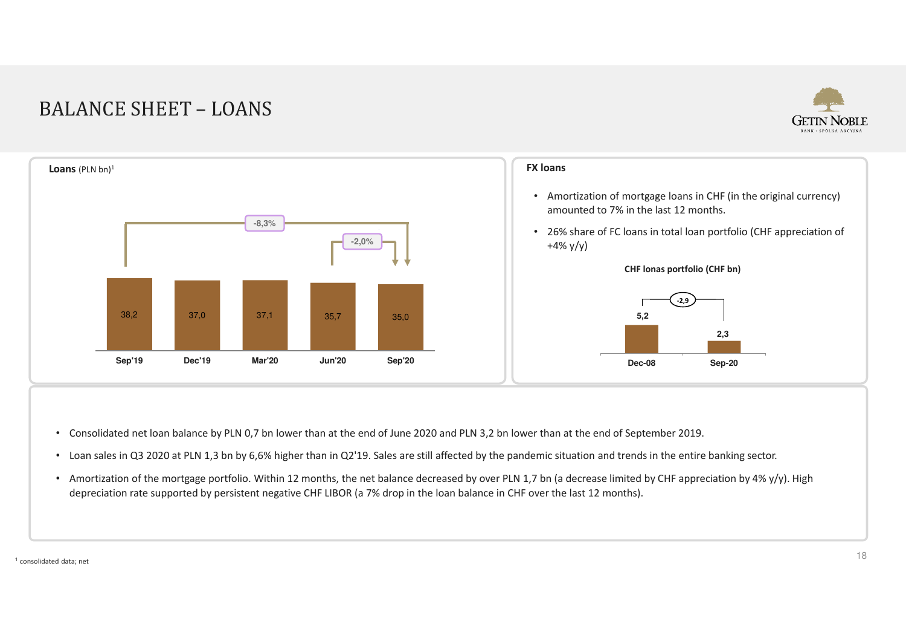## BALANCE SHEET – LOANS





- Consolidated net loan balance by PLN 0,7 bn lower than at the end of June 2020 and PLN 3,2 bn lower than at the end of September 2019.
- Loan sales in Q3 2020 at PLN 1,3 bn by 6,6% higher than in Q2'19. Sales are still affected by the pandemic situation and trends in the entire banking sector.
- Amortization of the mortgage portfolio. Within 12 months, the net balance decreased by over PLN 1,7 bn (a decrease limited by CHF appreciation by 4% y/y). High depreciation rate supported by persistent negative CHF LIBOR (a 7% drop in the loan balance in CHF over the last 12 months).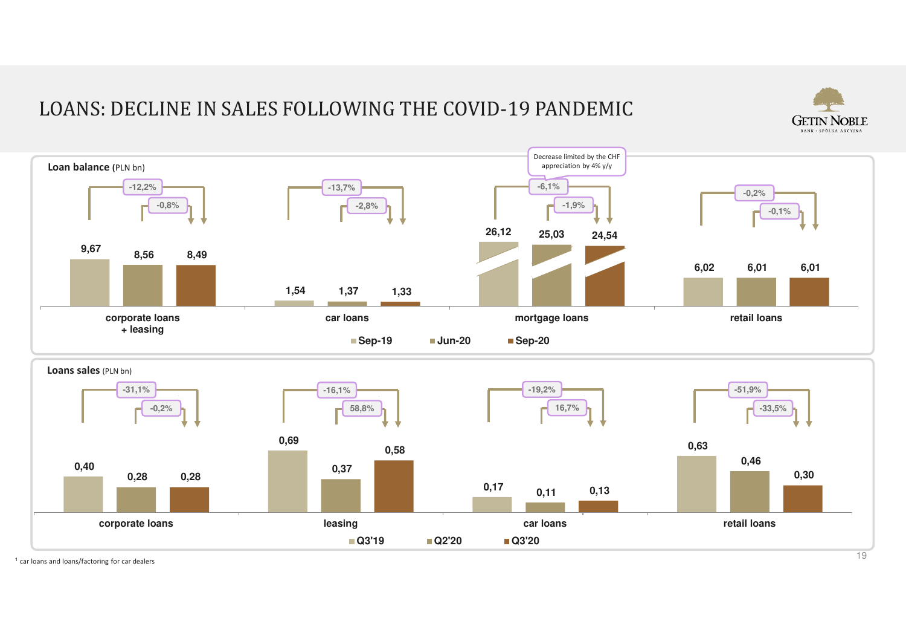## LOANS: DECLINE IN SALES FOLLOWING THE COVID-19 PANDEMIC





<sup>1</sup> car loans and loans/factoring for car dealers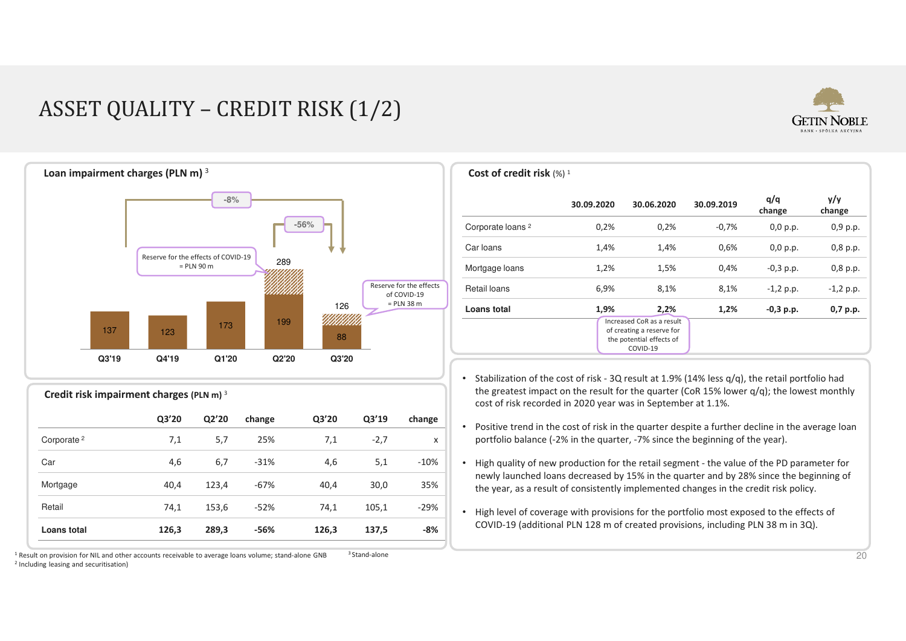# ASSET QUALITY – CREDIT RISK (1/2)





|                              | 30.09.2020 | 30.06.2020                                                                                             | 30.09.2019 | q/q<br>change | y/y<br>change |
|------------------------------|------------|--------------------------------------------------------------------------------------------------------|------------|---------------|---------------|
| Corporate loans <sup>2</sup> | 0.2%       | 0,2%                                                                                                   | $-0.7%$    | 0,0, p.p.     | $0,9$ p.p.    |
| Car Ioans                    | 1,4%       | 1,4%                                                                                                   | 0,6%       | 0,0, p.p.     | $0,8$ p.p.    |
| Mortgage loans               | 1,2%       | 1,5%                                                                                                   | 0,4%       | $-0,3$ p.p.   | $0,8$ p.p.    |
| Retail loans                 | 6,9%       | 8,1%                                                                                                   | 8,1%       | $-1,2$ p.p.   | $-1,2$ p.p.   |
| <b>Loans total</b>           | 1,9%       | 2,2%<br>Increased CoR as a result<br>of creating a reserve for<br>the potential effects of<br>COVID-19 | 1,2%       | $-0,3$ p.p.   | $0,7$ p.p.    |

**Cost of credit risk (%)**<sup>1</sup>

**Credit risk impairment charges (PLN m)** <sup>3</sup>

|                        | Q3'20 | Q2'20 | change | Q3'20 | Q3'19  | change |
|------------------------|-------|-------|--------|-------|--------|--------|
| Corporate <sup>2</sup> | 7,1   | 5,7   | 25%    | 7,1   | $-2.7$ | X      |
| Car                    | 4,6   | 6,7   | $-31%$ | 4,6   | 5,1    | $-10%$ |
| Mortgage               | 40,4  | 123,4 | $-67%$ | 40,4  | 30,0   | 35%    |
| Retail                 | 74,1  | 153,6 | $-52%$ | 74,1  | 105,1  | $-29%$ |
| Loans total            | 126,3 | 289,3 | $-56%$ | 126,3 | 137,5  | $-8%$  |

<sup>1</sup> Result on provision for NIL and other accounts receivable to average loans volume; stand-alone GNB  $3$ <sup>3</sup> Stand-alone 2 Including leasing and securitisation)

- •Stabilization of the cost of risk - 3Q result at 1.9% (14% less  $q/q$ ), the retail portfolio had the greatest impact on the result for the quarter (CoR 15% lower  $q/q$ ); the lowest monthly cost of risk recorded in 2020 year was in September at 1.1%.
- Positive trend in the cost of risk in the quarter despite a further decline in the average loan portfolio balance (-2% in the quarter, -7% since the beginning of the year).
- High quality of new production for the retail segment the value of the PD parameter for newly launched loans decreased by 15% in the quarter and by 28% since the beginning of the year, as a result of consistently implemented changes in the credit risk policy.
- High level of coverage with provisions for the portfolio most exposed to the effects of COVID-19 (additional PLN 128 m of created provisions, including PLN 38 m in 3Q).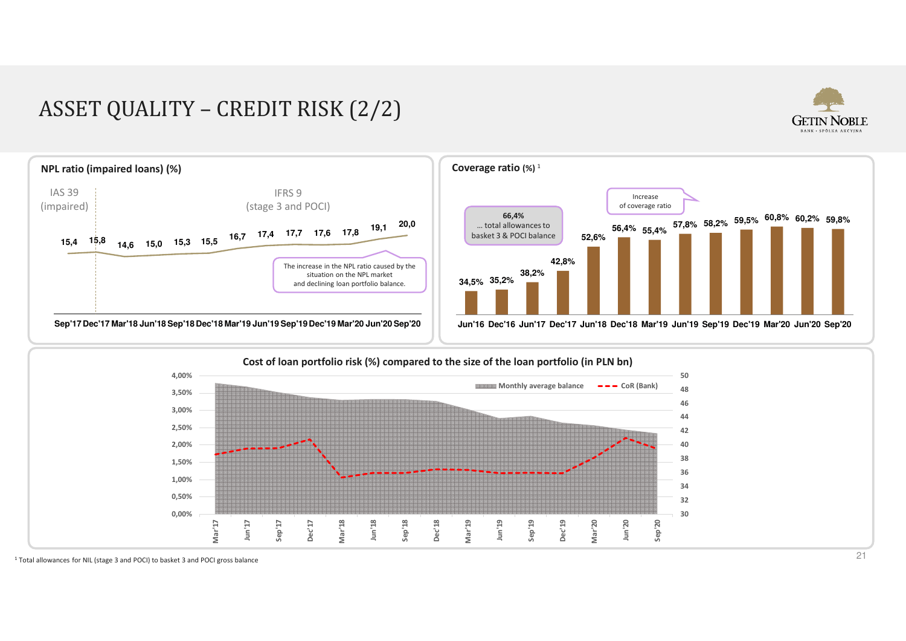# ASSET QUALITY – CREDIT RISK (2/2)







1 Total allowances for NIL (stage 3 and POCI) to basket 3 and POCI gross balance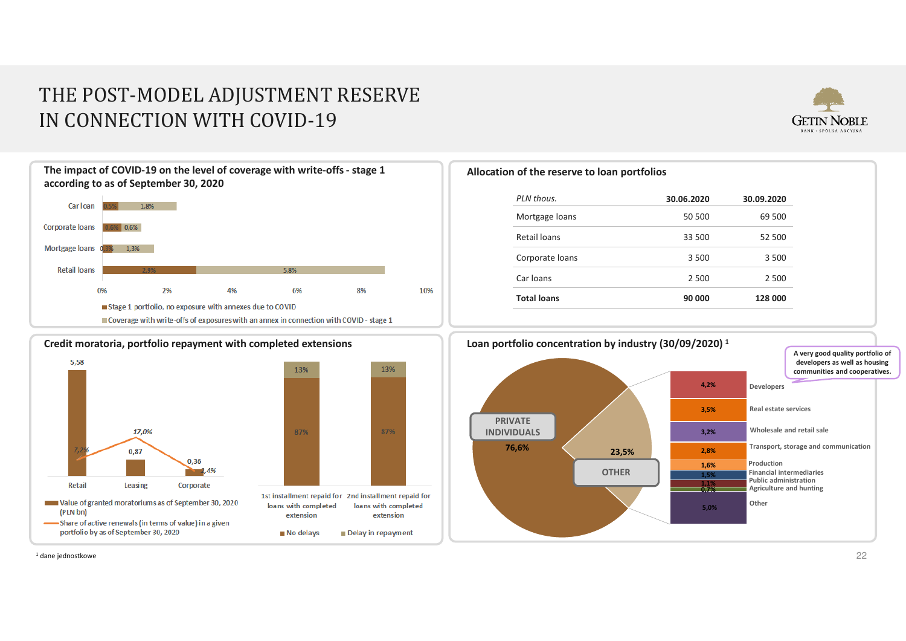## THE POST-MODEL ADJUSTMENT RESERVE IN CONNECTION WITH COVID-19









13%

87%

extension

**Allocation of the reserve to loan portfolios**

*PLN thous.*



Mortgage loans 69 500 69 500

Retail loans 6 1 200 201 202 203 33 500 201 202 33 500 52 500 33 500 52 500 52 500 33 500 52 500 52 500 52 500

**30.06.2020 30.09.2020**

#### <sup>1</sup> dane jednostkowe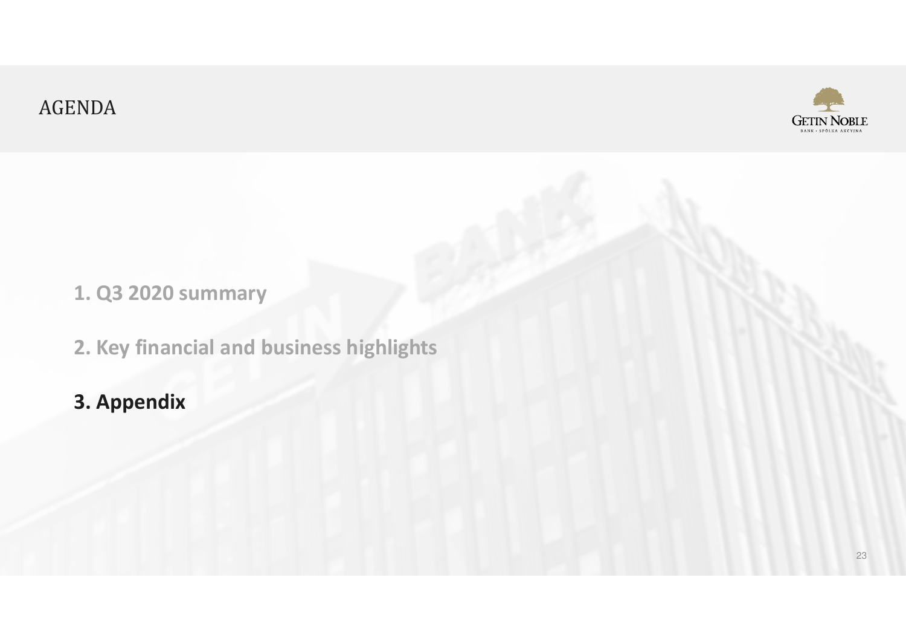## AGENDA



- **1. Q3 2020 summary**
- **2. Key financial and business highlights**
- **3. Appendix**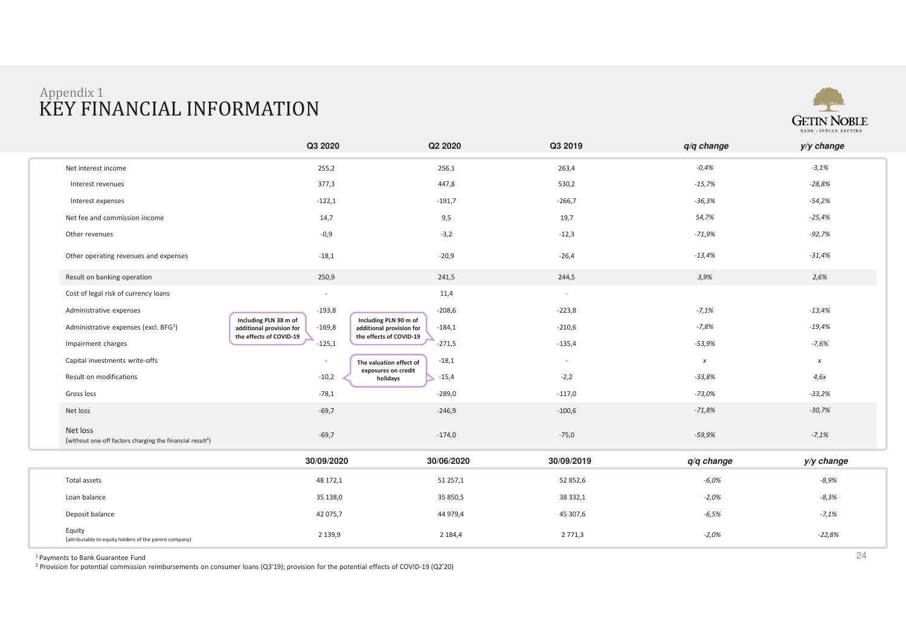#### KEY FINANCIAL INFORMATIONAppendix 1<br>**יים אירי**



|                                                                                   | Q3 2020                                                       | Q2 2020                                                       | Q3 2019    | q/q change       | y/y change       |
|-----------------------------------------------------------------------------------|---------------------------------------------------------------|---------------------------------------------------------------|------------|------------------|------------------|
| Net interest income                                                               | 255,2                                                         | 256,1                                                         | 263,4      | $-0,4%$          | $-3,1%$          |
| Interest revenues                                                                 | 377,3                                                         | 447,8                                                         | 530,2      | $-15,7%$         | $-28,8%$         |
| Interest expenses                                                                 | $-122,1$                                                      | $-191,7$                                                      | $-266,7$   | $-36,3%$         | $-54,2%$         |
| Net fee and commission income                                                     | 14,7                                                          | 9,5                                                           | 19,7       | 54,7%            | $-25,4%$         |
| Other revenues                                                                    | $-0,9$                                                        | $-3,2$                                                        | $-12,3$    | $-71,9%$         | $-92,7%$         |
| Other operating revenues and expenses                                             | $-18,1$                                                       | $-20,9$                                                       | $-26,4$    | $-13,4%$         | $-31,4%$         |
| Result on banking operation                                                       | 250,9                                                         | 241,5                                                         | 244,5      | 3,9%             | 2,6%             |
| Cost of legal risk of currency loans                                              | $\overline{\phantom{a}}$                                      | 11,4                                                          | $\sim$     |                  |                  |
| Administrative expenses                                                           | $-193,8$                                                      | $-208,6$                                                      | $-223,8$   | $-7,1%$          | $-13,4%$         |
| Administrative expenses (excl. BFG <sup>1</sup> )                                 | Including PLN 38 m of<br>$-169,8$<br>additional provision for | Including PLN 90 m of<br>$-184,1$<br>additional provision for | $-210,6$   | $-7,8%$          | $-19,4%$         |
| Impairment charges                                                                | the effects of COVID-19<br>$-125,1$                           | the effects of COVID-19<br>$-271,5$                           | $-135,4$   | $-53,9%$         | $-7,6%$          |
| Capital investments write-offs                                                    | $\overline{\phantom{a}}$                                      | $-18,1$<br>The valuation effect of                            | $\sim$     | $\boldsymbol{X}$ | $\boldsymbol{x}$ |
| Result on modifications                                                           | $-10,2$                                                       | exposures on credit<br>$-15,4$<br>holidays                    | $-2,2$     | $-33,8%$         | 4,6x             |
| Gross loss                                                                        | $-78,1$                                                       | $-289,0$                                                      | $-117,0$   | $-73,0%$         | $-33,2%$         |
| Net loss                                                                          | $-69,7$                                                       | $-246,9$                                                      | $-100,6$   | $-71,8%$         | $-30,7%$         |
| Net loss<br>(without one-off factors charging the financial result <sup>2</sup> ) | $-69,7$                                                       | $-174,0$                                                      | $-75,0$    | $-59,9%$         | $-7,1%$          |
|                                                                                   | 30/09/2020                                                    | 30/06/2020                                                    | 30/09/2019 | $q/q$ change     | y/y change       |
| Total assets                                                                      | 48 172,1                                                      | 51 257,1                                                      | 52 852,6   | -6,0%            | $-8,9%$          |
| Loan balance                                                                      | 35 138,0                                                      | 35 850,5                                                      | 38 332,1   | $-2,0%$          | $-8,3%$          |
| Deposit balance                                                                   | 42 075,7                                                      | 44 979,4                                                      | 45 307,6   | $-6,5%$          | $-7,1%$          |
| Equity<br>(attributable to equity holders of the parent company)                  | 2 139,9                                                       | 2 1 8 4 , 4                                                   | 2771,3     | $-2,0%$          | $-22,8%$         |

1 Payments to Bank Guarantee Fund

2 Provision for potential commission reimbursements on consumer loans (Q3'19); provision for the potential effects of COVID-19 (Q2'20)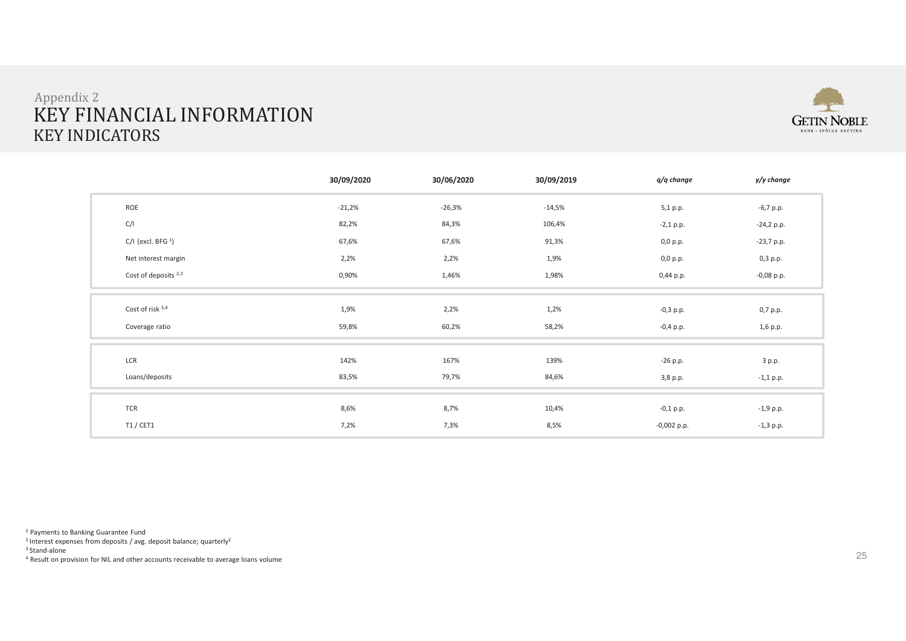#### KEY FINANCIAL INFORMATION KEY INDICATORSAppendix 2<br>\* \* <del>\*</del> \* \* \* \* \*



|     |                                 | 30/09/2020 | 30/06/2020 | 30/09/2019 | q/q change    | y/y change   |
|-----|---------------------------------|------------|------------|------------|---------------|--------------|
|     | <b>ROE</b>                      | $-21,2%$   | $-26,3%$   | $-14,5%$   | 5,1 p.p.      | $-6,7$ p.p.  |
| C/I |                                 | 82,2%      | 84,3%      | 106,4%     | $-2,1$ p.p.   | $-24,2 p.p.$ |
|     | $C/I$ (excl. BFG <sup>1</sup> ) | 67,6%      | 67,6%      | 91,3%      | 0,0 p.p.      | $-23,7$ p.p. |
|     | Net interest margin             | 2,2%       | 2,2%       | 1,9%       | 0,0 p.p.      | 0,3 p.p.     |
|     | Cost of deposits <sup>2,3</sup> | 0,90%      | 1,46%      | 1,98%      | $0,44$ p.p.   | $-0,08$ p.p. |
|     |                                 |            |            |            |               |              |
|     | Cost of risk 3,4                | 1,9%       | 2,2%       | 1,2%       | $-0,3$ p.p.   | 0,7 p.p.     |
|     | Coverage ratio                  | 59,8%      | 60,2%      | 58,2%      | $-0,4$ p.p.   | 1,6 p.p.     |
|     |                                 |            |            |            |               |              |
|     | LCR                             | 142%       | 167%       | 139%       | $-26$ p.p.    | 3 p.p.       |
|     | Loans/deposits                  | 83,5%      | 79,7%      | 84,6%      | 3,8 p.p.      | $-1,1$ p.p.  |
|     |                                 |            |            |            |               |              |
|     | <b>TCR</b>                      | 8,6%       | 8,7%       | 10,4%      | $-0,1$ p.p.   | $-1,9$ p.p.  |
|     | T1/CET1                         | 7,2%       | 7,3%       | 8,5%       | $-0,002$ p.p. | $-1,3$ p.p.  |

1 Payments to Banking Guarantee Fund

<sup>2</sup> Interest expenses from deposits / avg. deposit balance; quarterly<sup>2</sup>

<sup>3</sup> Stand-alone

<sup>4</sup> Result on provision for NIL and other accounts receivable to average loans volume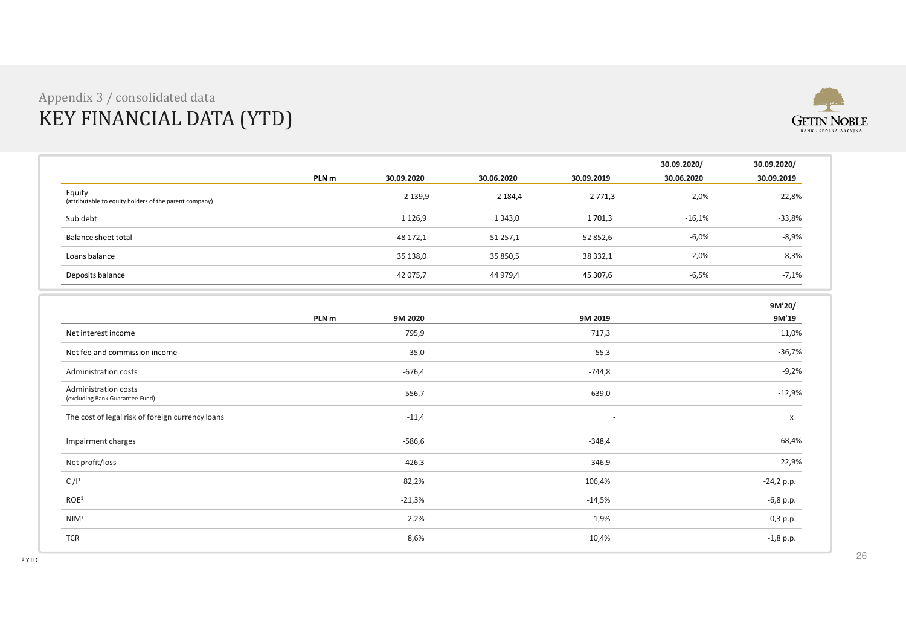### KEY FINANCIAL DATA (YTD) Appendix 3 / consolidated data



|                                                                  | PLN m | 30.09.2020  | 30.06.2020 | 30.09.2019 | 30.09.2020/<br>30.06.2020 | 30.09.2020/<br>30.09.2019 |
|------------------------------------------------------------------|-------|-------------|------------|------------|---------------------------|---------------------------|
| Equity<br>(attributable to equity holders of the parent company) |       | 2 1 3 9 , 9 | 2 184,4    | 2771,3     | $-2,0%$                   | $-22,8%$                  |
| Sub debt                                                         |       | 1 1 2 6, 9  | 1 343,0    | 1701,3     | $-16,1%$                  | $-33,8%$                  |
| <b>Balance sheet total</b>                                       |       | 48 172,1    | 51 257,1   | 52 852,6   | $-6,0%$                   | $-8,9%$                   |
| Loans balance                                                    |       | 35 138,0    | 35 850,5   | 38 332,1   | $-2,0%$                   | $-8,3%$                   |
| Deposits balance                                                 |       | 42 075,7    | 44 979,4   | 45 307,6   | $-6,5%$                   | $-7,1%$                   |
|                                                                  |       |             |            |            |                           | 9M'20/                    |
|                                                                  | PLN m | 9M 2020     |            | 9M 2019    |                           | 9M'19                     |
| Net interest income                                              |       | 795,9       |            | 717,3      |                           | 11,0%                     |
| Net fee and commission income                                    |       | 35,0        |            | 55,3       |                           | $-36,7%$                  |
| Administration costs                                             |       | $-676,4$    |            | $-744,8$   |                           | $-9,2%$                   |
| Administration costs<br>(excluding Bank Guarantee Fund)          |       | $-556,7$    |            | $-639,0$   |                           | $-12,9%$                  |
| The cost of legal risk of foreign currency loans                 |       | $-11,4$     |            | $\sim$     |                           | X                         |
| Impairment charges                                               |       | $-586,6$    |            | $-348,4$   |                           | 68,4%                     |
| Net profit/loss                                                  |       | $-426,3$    |            | $-346,9$   |                           | 22,9%                     |
| C/I <sup>1</sup>                                                 |       | 82,2%       |            | 106,4%     |                           | $-24,2 p.p.$              |
| ROE <sup>1</sup>                                                 |       | $-21,3%$    |            | $-14,5%$   |                           | $-6,8$ p.p.               |
| NIM <sup>1</sup>                                                 |       | 2,2%        |            | 1,9%       |                           | 0,3 p.p.                  |
| <b>TCR</b>                                                       |       | 8,6%        |            | 10,4%      |                           | $-1,8$ p.p.               |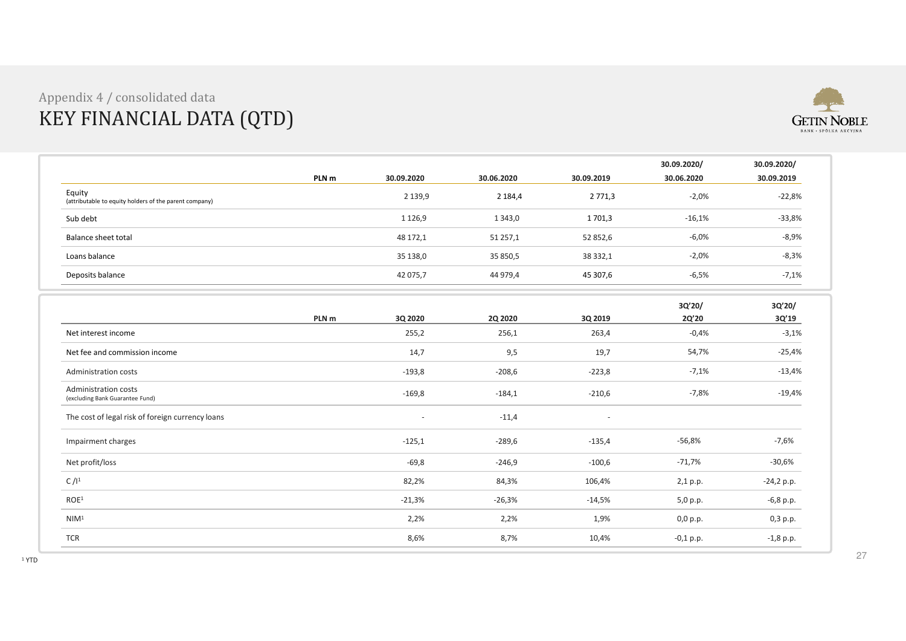#### KEY FINANCIAL DATA (QTD) Appendix 4 / consolidated data



|                                                                  | PLN m            | 30.09.2020  | 30.06.2020     | 30.09.2019  | 30.09.2020/<br>30.06.2020 | 30.09.2020/<br>30.09.2019 |
|------------------------------------------------------------------|------------------|-------------|----------------|-------------|---------------------------|---------------------------|
| Equity<br>(attributable to equity holders of the parent company) |                  | 2 1 3 9 , 9 | 2 184,4        | 2 7 7 1 , 3 | $-2,0%$                   | $-22,8%$                  |
| Sub debt                                                         |                  | 1 1 2 6, 9  | 1 3 4 3 , 0    | 1701,3      | $-16,1%$                  | $-33,8%$                  |
| Balance sheet total                                              |                  | 48 172,1    | 51 257,1       | 52 852,6    | $-6,0%$                   | $-8,9%$                   |
| Loans balance                                                    |                  | 35 138,0    | 35 850,5       | 38 332,1    | $-2,0%$                   | $-8,3%$                   |
| Deposits balance                                                 |                  | 42 075,7    | 44 979,4       | 45 307,6    | $-6,5%$                   | $-7,1%$                   |
|                                                                  | PLN <sub>m</sub> | 3Q 2020     | <b>2Q 2020</b> | 3Q 2019     | 3Q'20/<br>2Q'20           | 3Q'20/<br>3Q'19           |
| Net interest income                                              |                  | 255,2       | 256,1          | 263,4       | $-0,4%$                   | $-3,1%$                   |
| Net fee and commission income                                    |                  | 14,7        | 9,5            | 19,7        | 54,7%                     | $-25,4%$                  |
| Administration costs                                             |                  | $-193,8$    | $-208,6$       | $-223,8$    | $-7,1%$                   | $-13,4%$                  |
| Administration costs<br>(excluding Bank Guarantee Fund)          |                  | $-169,8$    | $-184,1$       | $-210,6$    | $-7,8%$                   | $-19,4%$                  |
| The cost of legal risk of foreign currency loans                 |                  |             | $-11,4$        |             |                           |                           |
| Impairment charges                                               |                  | $-125,1$    | $-289,6$       | $-135,4$    | $-56,8%$                  | $-7,6%$                   |
| Net profit/loss                                                  |                  | $-69,8$     | $-246,9$       | $-100,6$    | $-71,7%$                  | $-30,6%$                  |
| C/I <sup>1</sup>                                                 |                  | 82,2%       | 84,3%          | 106,4%      | 2,1 p.p.                  | $-24,2 p.p.$              |
| ROE1                                                             |                  | $-21,3%$    | $-26,3%$       | $-14,5%$    | 5,0 p.p.                  | $-6,8$ p.p.               |
| NIM <sup>1</sup>                                                 |                  | 2,2%        | 2,2%           | 1,9%        | 0,0 p.p.                  | $0,3$ p.p.                |
| <b>TCR</b>                                                       |                  | 8,6%        | 8,7%           | 10,4%       | $-0,1$ p.p.               | $-1,8$ p.p.               |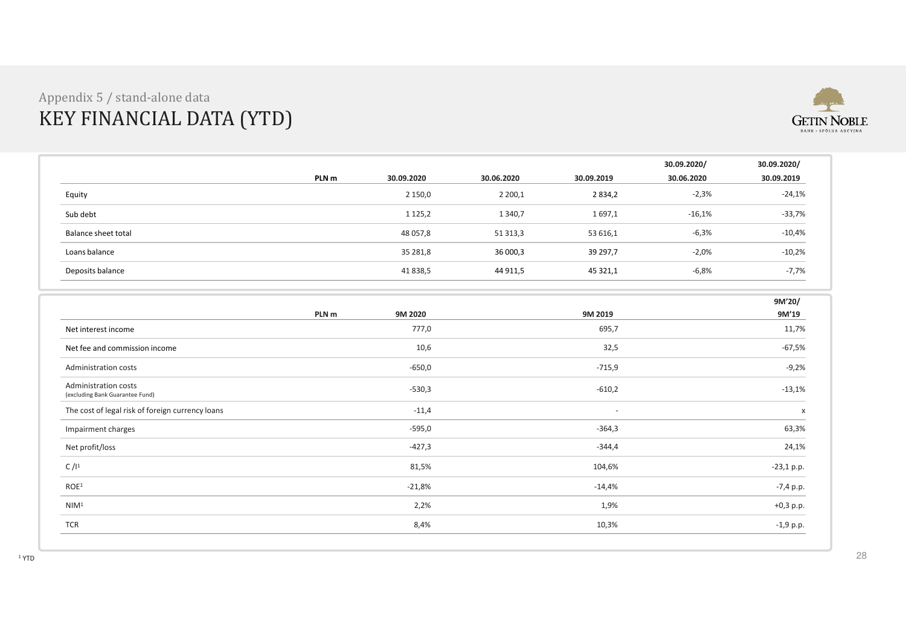# KEY FINANCIAL DATA (YTD) Appendix 5 / stand-alone data



|                                                         | PLN m | 30.09.2020  | 30.06.2020  | 30.09.2019 | 30.09.2020/<br>30.06.2020 | 30.09.2020/<br>30.09.2019 |
|---------------------------------------------------------|-------|-------------|-------------|------------|---------------------------|---------------------------|
| Equity                                                  |       | 2 150,0     | 2 200,1     | 2834,2     | $-2,3%$                   | $-24,1%$                  |
| Sub debt                                                |       | 1 1 2 5 , 2 | 1 3 4 0 , 7 | 1697,1     | $-16,1%$                  | $-33,7%$                  |
| <b>Balance sheet total</b>                              |       | 48 057,8    | 51 313,3    | 53 616,1   | $-6,3%$                   | $-10,4%$                  |
| Loans balance                                           |       | 35 281,8    | 36 000,3    | 39 297,7   | $-2,0%$                   | $-10,2%$                  |
| Deposits balance                                        |       | 41 838,5    | 44 911,5    | 45 321,1   | $-6,8%$                   | $-7,7%$                   |
|                                                         | PLN m | 9M 2020     |             | 9M 2019    |                           | 9M'20/<br>9M'19           |
| Net interest income                                     |       | 777,0       |             | 695,7      |                           | 11,7%                     |
| Net fee and commission income                           |       | 10,6        |             | 32,5       |                           | $-67,5%$                  |
| Administration costs                                    |       | $-650,0$    |             | $-715,9$   |                           | $-9,2%$                   |
| Administration costs<br>(excluding Bank Guarantee Fund) |       | $-530,3$    |             | $-610,2$   |                           | $-13,1%$                  |
| The cost of legal risk of foreign currency loans        |       | $-11,4$     |             | $\sim$     |                           | $\boldsymbol{\mathsf{x}}$ |
| Impairment charges                                      |       | $-595,0$    |             | $-364,3$   |                           | 63,3%                     |
| Net profit/loss                                         |       | $-427,3$    |             | $-344,4$   |                           | 24,1%                     |
| C/I <sup>1</sup>                                        |       | 81,5%       |             | 104,6%     |                           | $-23,1 p.p.$              |
| ROE1                                                    |       | $-21,8%$    |             | $-14,4%$   |                           | $-7,4$ p.p.               |
| NIM <sup>1</sup>                                        |       | 2,2%        |             | 1,9%       |                           | $+0,3$ p.p.               |
| <b>TCR</b>                                              |       | 8,4%        |             | 10,3%      |                           | $-1,9$ p.p.               |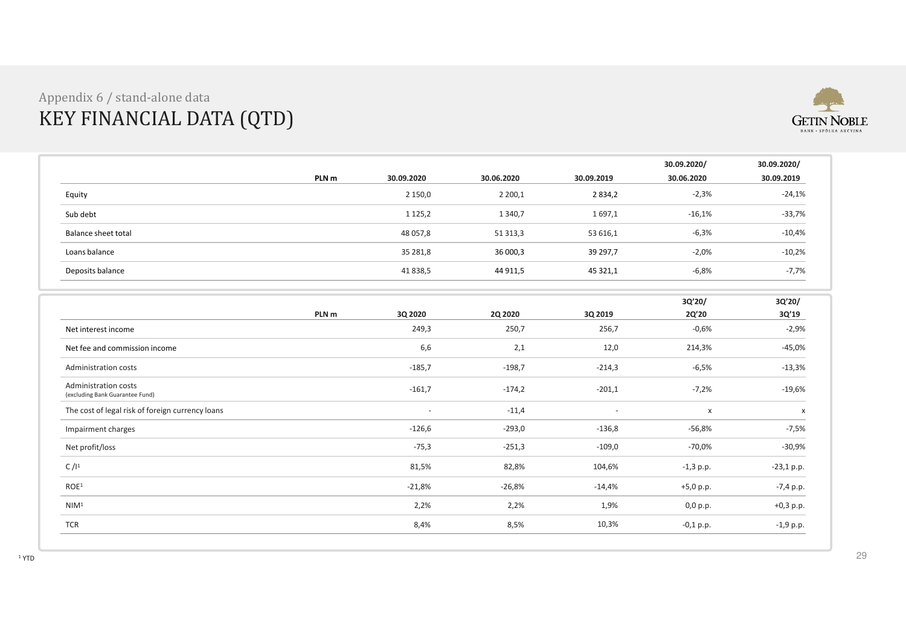# KEY FINANCIAL DATA (QTD) Appendix 6 / stand-alone data



|                                                         |       |             |                |            | 30.09.2020/ | 30.09.2020/  |
|---------------------------------------------------------|-------|-------------|----------------|------------|-------------|--------------|
|                                                         | PLN m | 30.09.2020  | 30.06.2020     | 30.09.2019 | 30.06.2020  | 30.09.2019   |
| Equity                                                  |       | 2 150,0     | 2 200,1        | 2834,2     | $-2,3%$     | $-24,1%$     |
| Sub debt                                                |       | 1 1 2 5 , 2 | 1 3 4 0 , 7    | 1697,1     | $-16,1%$    | $-33,7%$     |
| <b>Balance sheet total</b>                              |       | 48 057,8    | 51 313,3       | 53 616,1   | $-6,3%$     | $-10,4%$     |
| Loans balance                                           |       | 35 281,8    | 36 000,3       | 39 297,7   | $-2,0%$     | $-10,2%$     |
| Deposits balance                                        |       | 41838,5     | 44 911,5       | 45 321,1   | $-6,8%$     | $-7,7%$      |
|                                                         |       |             |                |            | 3Q'20/      | 3Q'20/       |
|                                                         | PLN m | 3Q 2020     | <b>2Q 2020</b> | 3Q 2019    | 2Q'20       | 3Q'19        |
| Net interest income                                     |       | 249,3       | 250,7          | 256,7      | $-0,6%$     | $-2,9%$      |
| Net fee and commission income                           |       | 6,6         | 2,1            | 12,0       | 214,3%      | $-45,0%$     |
| Administration costs                                    |       | $-185,7$    | $-198,7$       | $-214,3$   | $-6,5%$     | $-13,3%$     |
| Administration costs<br>(excluding Bank Guarantee Fund) |       | $-161,7$    | $-174,2$       | $-201,1$   | $-7,2%$     | $-19,6%$     |
| The cost of legal risk of foreign currency loans        |       | $\sim$      | $-11,4$        | $\sim$     | $\mathsf X$ | X            |
| Impairment charges                                      |       | $-126,6$    | $-293,0$       | $-136,8$   | $-56,8%$    | $-7,5%$      |
| Net profit/loss                                         |       | $-75,3$     | $-251,3$       | $-109,0$   | $-70,0%$    | $-30,9%$     |
| C/I <sup>1</sup>                                        |       | 81,5%       | 82,8%          | 104,6%     | $-1,3$ p.p. | $-23,1$ p.p. |
| ROE1                                                    |       | $-21,8%$    | $-26,8%$       | $-14,4%$   | $+5,0 p.p.$ | $-7,4$ p.p.  |
| NIM <sup>1</sup>                                        |       | 2,2%        | 2,2%           | 1,9%       | 0,0 p.p.    | $+0,3$ p.p.  |
| <b>TCR</b>                                              |       | 8,4%        | 8,5%           | 10,3%      | $-0,1$ p.p. | $-1,9$ p.p.  |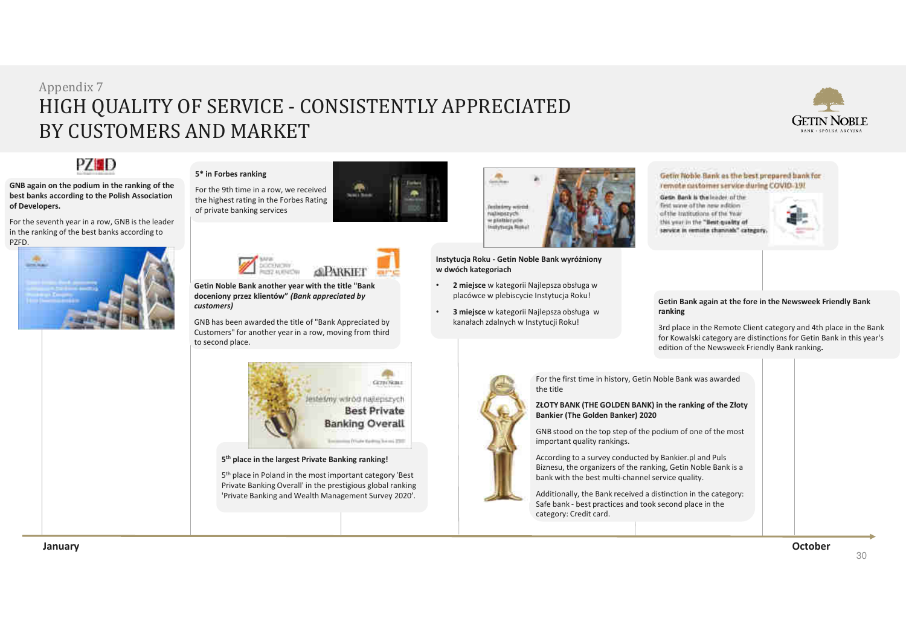#### HIGH QUALITY OF SERVICE - CONSISTENTLY APPRECIATED BY CUSTOMERS AND MARKETAppendix 7





**GNB again on the podium in the ranking of the best banks according to the Polish Association of Developers.**

For the seventh year in a row, GNB is the leader in the ranking of the best banks according to PZFD.





For the 9th time in a row, we received the highest rating in the Forbes Rating of private banking services



**Getin Noble Bank another year with the title "Bank doceniony przez klientów"** *(Bank appreciated by customers)*

GNB has been awarded the title of "Bank Appreciated by Customers" for another year in a row, moving from third to second place.



#### **5th place in the largest Private Banking ranking!**

5<sup>th</sup> place in Poland in the most important category 'Best Private Banking Overall' in the prestigious global ranking 'Private Banking and Wealth Management Survey 2020'.



**Instytucja Roku - Getin Noble Bank wyróżniony w dwóch kategoriach**

- • **2 miejsce** w kategorii Najlepsza obsługa w placówce w plebiscycie Instytucja Roku!
- • **3 miejsce** w kategorii Najlepsza obsługa w kanałach zdalnych w Instytucji Roku!



Getin Bank is the loader of the first wave of the new edition. of the Institutions of the Year this year in the "Best-quality of service in remate channels" category



#### **Getin Bank again at the fore in the Newsweek Friendly Bank ranking**

3rd place in the Remote Client category and 4th place in the Bank for Kowalski category are distinctions for Getin Bank in this year's edition of the Newsweek Friendly Bank ranking**.**

For the first time in history, Getin Noble Bank was awarded the title

**ZŁOTY BANK (THE GOLDEN BANK) in the ranking of the Złoty Bankier (The Golden Banker) <sup>2020</sup>**

GNB stood on the top step of the podium of one of the most important quality rankings.

According to a survey conducted by Bankier.pl and Puls Biznesu, the organizers of the ranking, Getin Noble Bank is a bank with the best multi-channel service quality.

Additionally, the Bank received a distinction in the category: Safe bank - best practices and took second place in the category: Credit card.

**January**

**October**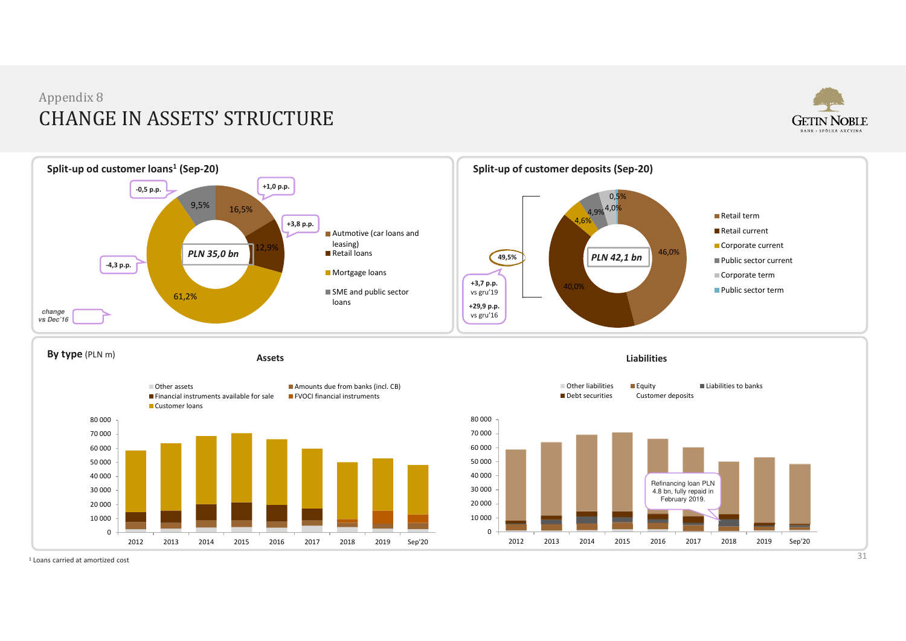#### CHANGE IN ASSETS' STRUCTURE Appendix 8





1 Loans carried at amortized cost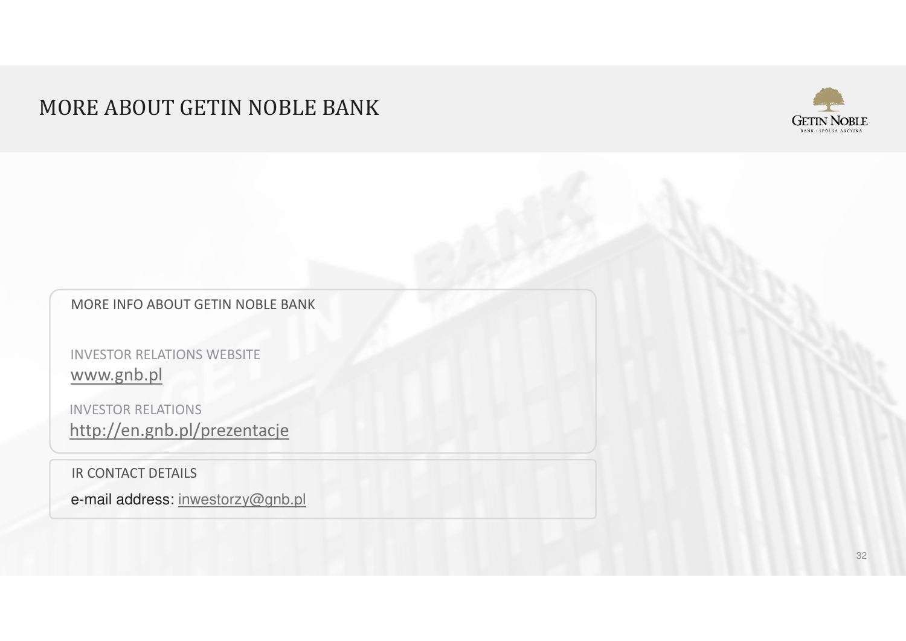# MORE ABOUT GETIN NOBLE BANK



MORE INFO ABOUT GETIN NOBLE BANK

INVESTOR RELATIONS WEBSITE www.gnb.pl

INVESTOR RELATIONShttp://en.gnb.pl/prezentacje

IR CONTACT DETAILS

e-mail address: <u>inwestorzy@gnb.p</u>l